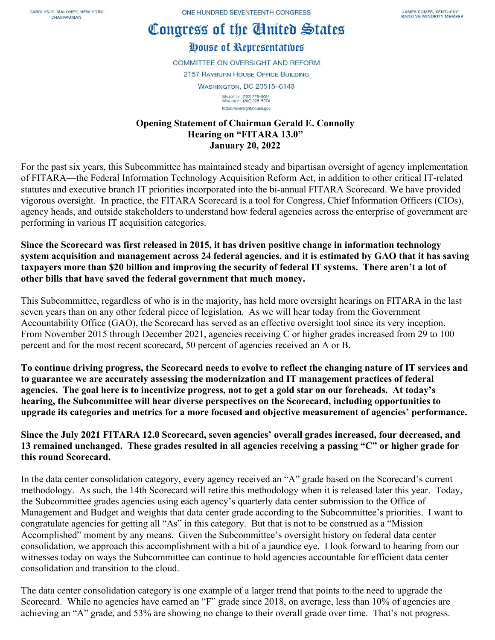## Congress of the Cinited States

## House of Representatives

**COMMITTEE ON OVERSIGHT AND REFORM 2157 RAYBURN HOUSE OFFICE BUILDING WASHINGTON, DC 20515-6143** MAJORITY (202) 225-5051<br>MINORITY (202) 225-5074 https://oversight.house.gov

## **Opening Statement of Chairman Gerald E. Connolly Hearing on "FITARA 13.0" January 20, 2022**

For the past six years, this Subcommittee has maintained steady and bipartisan oversight of agency implementation of FITARA—the Federal Information Technology Acquisition Reform Act, in addition to other critical IT-related statutes and executive branch IT priorities incorporated into the bi-annual FITARA Scorecard. We have provided vigorous oversight. In practice, the FITARA Scorecard is a tool for Congress, Chief Information Officers (CIOs), agency heads, and outside stakeholders to understand how federal agencies across the enterprise of government are performing in various IT acquisition categories.

**Since the Scorecard was first released in 2015, it has driven positive change in information technology system acquisition and management across 24 federal agencies, and it is estimated by GAO that it has saving taxpayers more than \$20 billion and improving the security of federal IT systems. There aren't a lot of other bills that have saved the federal government that much money.**

This Subcommittee, regardless of who is in the majority, has held more oversight hearings on FITARA in the last seven years than on any other federal piece of legislation. As we will hear today from the Government Accountability Office (GAO), the Scorecard has served as an effective oversight tool since its very inception. From November 2015 through December 2021, agencies receiving C or higher grades increased from 29 to 100 percent and for the most recent scorecard, 50 percent of agencies received an A or B.

**To continue driving progress, the Scorecard needs to evolve to reflect the changing nature of IT services and to guarantee we are accurately assessing the modernization and IT management practices of federal agencies. The goal here is to incentivize progress, not to get a gold star on our foreheads. At today's hearing, the Subcommittee will hear diverse perspectives on the Scorecard, including opportunities to upgrade its categories and metrics for a more focused and objective measurement of agencies' performance.**

**Since the July 2021 FITARA 12.0 Scorecard, seven agencies' overall grades increased, four decreased, and 13 remained unchanged. These grades resulted in all agencies receiving a passing "C" or higher grade for this round Scorecard.**

In the data center consolidation category, every agency received an "A" grade based on the Scorecard's current methodology. As such, the 14th Scorecard will retire this methodology when it is released later this year. Today, the Subcommittee grades agencies using each agency's quarterly data center submission to the Office of Management and Budget and weights that data center grade according to the Subcommittee's priorities. I want to congratulate agencies for getting all "As" in this category. But that is not to be construed as a "Mission Accomplished" moment by any means. Given the Subcommittee's oversight history on federal data center consolidation, we approach this accomplishment with a bit of a jaundice eye. I look forward to hearing from our witnesses today on ways the Subcommittee can continue to hold agencies accountable for efficient data center consolidation and transition to the cloud.

The data center consolidation category is one example of a larger trend that points to the need to upgrade the Scorecard. While no agencies have earned an "F" grade since 2018, on average, less than 10% of agencies are achieving an "A" grade, and 53% are showing no change to their overall grade over time. That's not progress.